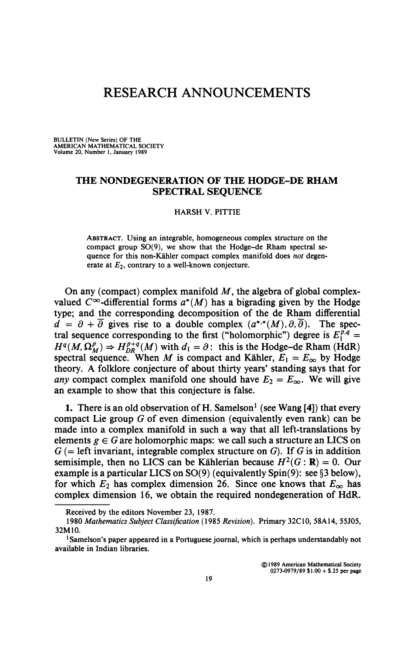# **RESEARCH ANNOUNCEMENTS**

**BULLETIN (New Series) OF THE AMERICAN MATHEMATICAL SOCIETY Volume 20, Number 1, January 1989** 

## **THE NONDEGENERATION OF THE HODGE-DE RHAM SPECTRAL SEQUENCE**

#### **HARSH V. PITTIE**

**ABSTRACT. Using an integrable, homogeneous complex structure on the compact group SO(9), we show that the Hodge-de Rham spectral sequence for this non-Kahler compact complex manifold does** *not* **degen**erate at  $E_2$ , contrary to a well-known conjecture.

On any (compact) complex manifold *M,* the algebra of global complexvalued  $C^{\infty}$ -differential forms  $a^*(M)$  has a bigrading given by the Hodge type; and the corresponding decomposition of the de Rham differential  $d = \partial + \overline{\partial}$  gives rise to a double complex  $(a^{*,*}(M), \partial, \overline{\partial})$ . The spectral sequence corresponding to the first ("holomorphic") degree is  $E_1^{p,q}$  =  $H^q(M, \Omega^p_M) \Rightarrow H^{p+q}_{DR}(M)$  with  $d_1 = \partial$ : this is the Hodge-de Rham (HdR) spectral sequence. When *M* is compact and Kähler,  $E_1 = E_\infty$  by Hodge theory. A folklore conjecture of about thirty years' standing says that for *any* compact complex manifold one should have  $E_2 = E_\infty$ . We will give an example to show that this conjecture is false.

1. There is an old observation of H. Samelson<sup>1</sup> (see Wang [4]) that every compact Lie group *G* of even dimension (equivalently even rank) can be made into a complex manifold in such a way that all left-translations by elements  $g \in G$  are holomorphic maps: we call such a structure an LICS on  $G$  (= left invariant, integrable complex structure on  $G$ ). If G is in addition semisimple, then no LICS can be Kählerian because  $H^2(G : \mathbf{R}) = 0$ . Our example is a particular LICS on SO(9) (equivalently Spin(9): see §3 below), for which  $E_2$  has complex dimension 26. Since one knows that  $E_\infty$  has complex dimension 16, we obtain the required nondegeneration of HdR.

**Received by the editors November 23, 1987.** 

**<sup>1980</sup>** *Mathematics Subject Classification* **(1985** *Revision).* **Primary 32C10, 58A14, 55J05, 32M10.** 

<sup>&</sup>lt;sup>1</sup> Samelson's paper appeared in a Portuguese journal, which is perhaps understandably not **available in Indian libraries.**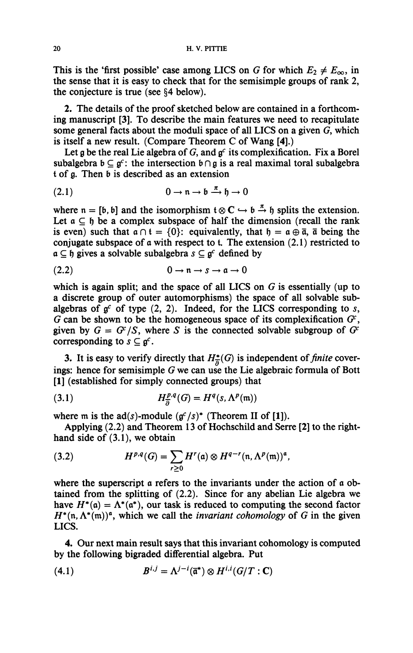This is the 'first possible' case among LICS on *G* for which  $E_2 \neq E_{\infty}$ , in **the sense that it is easy to check that for the semisimple groups of rank 2, the conjecture is true (see §4 below).** 

**2. The details of the proof sketched below are contained in a forthcoming manuscript [3]. To describe the main features we need to recapitulate some general facts about the moduli space of all LICS on a given** *G,* **which is itself a new result. (Compare Theorem C of Wang [4].)** 

Let  $g$  be the real Lie algebra of  $G$ , and  $g^c$  its complexification. Fix a Borel subalgebra  $b \subseteq g^c$ : the intersection  $b \cap g$  is a real maximal toral subalgebra **t of** *g.* **Then b is described as an extension** 

$$
(2.1) \t\t 0 \to \mathfrak{n} \to \mathfrak{b} \xrightarrow{\pi} \mathfrak{h} \to 0
$$

where  $n = [b, b]$  and the isomorphism  $t \otimes C \hookrightarrow b \stackrel{\pi}{\rightarrow} b$  splits the extension. Let  $a \subseteq b$  be a complex subspace of half the dimension (recall the rank is even) such that  $a \cap t = \{0\}$ : equivalently, that  $\mathfrak{h} = a \oplus \overline{a}$ ,  $\overline{a}$  being the **conjugate subspace of a with respect to t. The extension (2.1) restricted to**   $a \subseteq b$  gives a solvable subalgebra  $s \subseteq g^c$  defined by

$$
(2.2) \t\t 0 \to n \to s \to a \to 0
$$

**which is again split; and the space of all LICS on** *G* **is essentially (up to a discrete group of outer automorphisms) the space of all solvable sub**algebras of  $g^c$  of type (2, 2). Indeed, for the LICS corresponding to  $s$ ,  $G$  can be shown to be the homogeneous space of its complexification  $G$ <sup>i</sup>, **given** by  $G = G^x/S$ , where S is the connected solvable subgroup of  $G^x$ **corresponding to**  $s \subseteq g^c$ .

**3.** It is easy to verify directly that  $H_{\overline{\partial}}^*(G)$  is independent of *finite* cover**ings: hence for semisimple** *G* **we can use the Lie algebraic formula of Bott [1] (established for simply connected groups) that** 

$$
(3.1) \tH^{p,q}_{\overline{\partial}}(G) = H^q(s, \Lambda^p(\mathfrak{m}))
$$

where m is the  $ad(s)$ -module  $(g^c/s)^*$  (Theorem II of [1]).

**Applying (2.2) and Theorem 13 of Hochschild and Serre [2] to the righthand side of (3.1), we obtain** 

(3.2) 
$$
H^{p,q}(G) = \sum_{r\geq 0} H^r(\mathfrak{a}) \otimes H^{q-r}(\mathfrak{n}, \Lambda^p(\mathfrak{m}))^{\mathfrak{a}},
$$

**where the superscript a refers to the invariants under the action of a obtained from the splitting of (2.2). Since for any abelian Lie algebra we**  have  $H^*(\mathfrak{a}) = \Lambda^*(\mathfrak{a}^*)$ , our task is reduced to computing the second factor  $H^*(n, \Lambda^*(m))^a$ , which we call the *invariant cohomology* of *G* in the given **LICS.** 

**4. Our next main result says that this invariant cohomology is computed by the following bigraded differential algebra. Put** 

$$
(4.1) \tBi,j = \Lambdaj-i(\overline{\mathfrak{a}}^*) \otimes Hi,i(G/T : \mathbf{C})
$$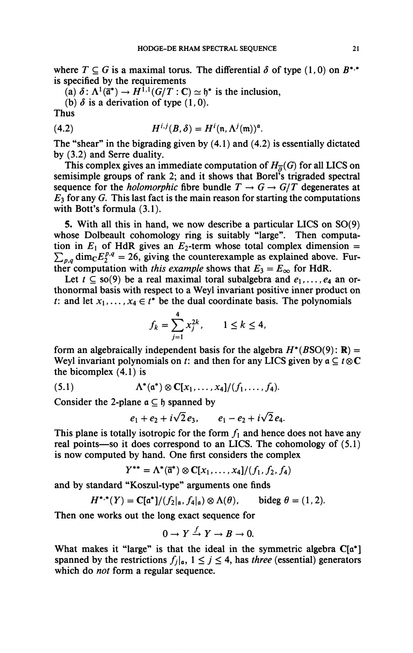where  $T \subseteq G$  is a maximal torus. The differential  $\delta$  of type (1,0) on  $B^{*,*}$ **is specified by the requirements** 

(a)  $\delta$ :  $\Lambda^1(\bar{\mathfrak{a}}^*) \to H^{1,1}(G/T : \mathbb{C}) \simeq \mathfrak{h}^*$  is the inclusion,

(b)  $\delta$  is a derivation of type  $(1,0)$ .

**Thus** 

(4.2) 
$$
H^{i,j}(B,\delta)=H^i(\mathfrak{n},\Lambda^j(\mathfrak{m}))^{\mathfrak{a}}.
$$

**The "shear" in the bigrading given by (4.1) and (4.2) is essentially dictated by (3.2) and Serre duality.** 

This complex gives an immediate computation of  $H_{\overline{p}}(G)$  for all LICS on semisimple groups of rank 2; and it shows that Borel's trigraded spectral **sequence for the** *holomorphic* **fibre bundle**  $T \rightarrow G \rightarrow G/T$  **degenerates at**  $E_3$  for any *G*. This last fact is the main reason for starting the computations **with Bott's formula (3.1).** 

**5. With all this in hand, we now describe a particular LICS on SO(9)**  whose Dolbeault cohomology ring is suitably "large". Then computation in  $E_1$  of HdR gives an  $E_2$ -term whose total complex dimension =  $\sum_{p,q}$  dim<sub>*C***</sub>** $E_2^{p,q}$  **= 26, giving the counterexample as explained above. Fur-</sub>** ther computation with *this example* shows that  $E_3 = E_\infty$  for HdR.

Let  $t \subseteq so(9)$  be a real maximal toral subalgebra and  $e_1, \ldots, e_4$  an or**thonormal basis with respect to a Weyl invariant positive inner product on**  *t*: and let  $x_1, \ldots, x_4 \in t^*$  be the dual coordinate basis. The polynomials

$$
f_k = \sum_{j=1}^4 x_j^{2k}, \qquad 1 \le k \le 4,
$$

**form an algebraically independent basis for the algebra**  $H^*(BSO(9))$ **: <b>R**) = **Weyl invariant polynomials on** *t***: and then for any LICS given by**  $a \subseteq t \otimes C$ **the bicomplex (4.1) is** 

(5.1)  $\Lambda^*(\mathfrak{a}^*) \otimes C[x_1, \ldots, x_4]/(f_1, \ldots, f_4).$ 

Consider the 2-plane  $a \subset \mathfrak{h}$  spanned by

$$
e_1 + e_2 + i\sqrt{2}e_3
$$
,  $e_1 - e_2 + i\sqrt{2}e_4$ .

This plane is totally isotropic for the form  $f_1$  and hence does not have any **real points—so it does correspond to an LICS. The cohomology of (5.1) is now computed by hand. One first considers the complex** 

$$
Y^{**} = \Lambda^*(\vec{\mathfrak{a}}^*) \otimes \mathbf{C}[x_1,\ldots,x_4]/(f_1,f_2,f_4)
$$

**and by standard "Koszul-type" arguments one finds** 

$$
H^{*,*}(Y) = \mathbf{C}[\mathfrak{a}^*]/(f_2|_{\mathfrak{a}}, f_4|_{\mathfrak{a}}) \otimes \Lambda(\theta), \quad \text{bideg } \theta = (1, 2).
$$

**Then one works out the long exact sequence for** 

$$
0 \to Y \xrightarrow{f} Y \to B \to 0.
$$

**What makes it "large" is that the ideal in the symmetric algebra C[a\*]**  spanned by the restrictions  $f_i|_a$ ,  $1 \leq j \leq 4$ , has *three* (essential) generators **which do** *not* **form a regular sequence.**